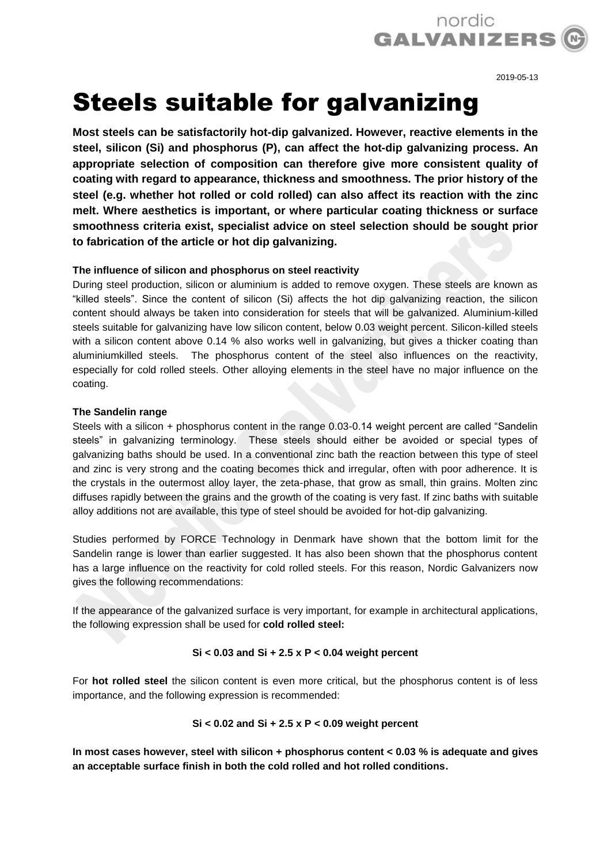

2019-05-13

# Steels suitable for galvanizing

**Most steels can be satisfactorily hot-dip galvanized. However, reactive elements in the steel, silicon (Si) and phosphorus (P), can affect the hot-dip galvanizing process. An appropriate selection of composition can therefore give more consistent quality of coating with regard to appearance, thickness and smoothness. The prior history of the steel (e.g. whether hot rolled or cold rolled) can also affect its reaction with the zinc melt. Where aesthetics is important, or where particular coating thickness or surface smoothness criteria exist, specialist advice on steel selection should be sought prior to fabrication of the article or hot dip galvanizing.**

## **The influence of silicon and phosphorus on steel reactivity**

During steel production, silicon or aluminium is added to remove oxygen. These steels are known as "killed steels". Since the content of silicon (Si) affects the hot dip galvanizing reaction, the silicon content should always be taken into consideration for steels that will be galvanized. Aluminium-killed steels suitable for galvanizing have low silicon content, below 0.03 weight percent. Silicon-killed steels with a silicon content above 0.14 % also works well in galvanizing, but gives a thicker coating than aluminiumkilled steels. The phosphorus content of the steel also influences on the reactivity, especially for cold rolled steels. Other alloying elements in the steel have no major influence on the coating.

## **The Sandelin range**

Steels with a silicon + phosphorus content in the range 0.03-0.14 weight percent are called "Sandelin steels" in galvanizing terminology. These steels should either be avoided or special types of galvanizing baths should be used. In a conventional zinc bath the reaction between this type of steel and zinc is very strong and the coating becomes thick and irregular, often with poor adherence. It is the crystals in the outermost alloy layer, the zeta-phase, that grow as small, thin grains. Molten zinc diffuses rapidly between the grains and the growth of the coating is very fast. If zinc baths with suitable alloy additions not are available, this type of steel should be avoided for hot-dip galvanizing.

Studies performed by FORCE Technology in Denmark have shown that the bottom limit for the Sandelin range is lower than earlier suggested. It has also been shown that the phosphorus content has a large influence on the reactivity for cold rolled steels. For this reason, Nordic Galvanizers now gives the following recommendations:

If the appearance of the galvanized surface is very important, for example in architectural applications, the following expression shall be used for **cold rolled steel:**

## **Si < 0.03 and Si + 2.5 x P < 0.04 weight percent**

For **hot rolled steel** the silicon content is even more critical, but the phosphorus content is of less importance, and the following expression is recommended:

## **Si < 0.02 and Si + 2.5 x P < 0.09 weight percent**

**In most cases however, steel with silicon + phosphorus content < 0.03 % is adequate and gives an acceptable surface finish in both the cold rolled and hot rolled conditions.**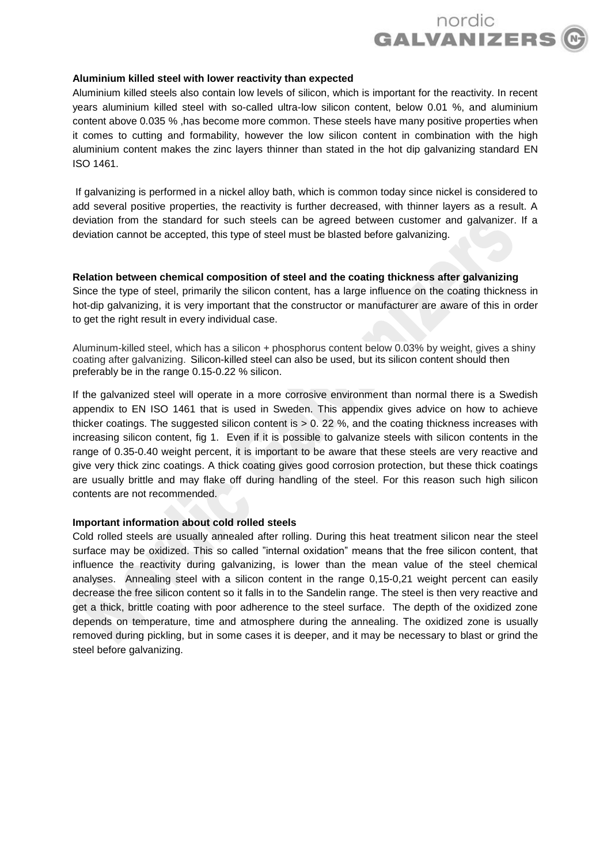

#### **Aluminium killed steel with lower reactivity than expected**

Aluminium killed steels also contain low levels of silicon, which is important for the reactivity. In recent years aluminium killed steel with so-called ultra-low silicon content, below 0.01 %, and aluminium content above 0.035 % ,has become more common. These steels have many positive properties when it comes to cutting and formability, however the low silicon content in combination with the high aluminium content makes the zinc layers thinner than stated in the hot dip galvanizing standard EN ISO 1461.

If galvanizing is performed in a nickel alloy bath, which is common today since nickel is considered to add several positive properties, the reactivity is further decreased, with thinner layers as a result. A deviation from the standard for such steels can be agreed between customer and galvanizer. If a deviation cannot be accepted, this type of steel must be blasted before galvanizing.

## **Relation between chemical composition of steel and the coating thickness after galvanizing**

Since the type of steel, primarily the silicon content, has a large influence on the coating thickness in hot-dip galvanizing, it is very important that the constructor or manufacturer are aware of this in order to get the right result in every individual case.

Aluminum-killed steel, which has a silicon + phosphorus content below 0.03% by weight, gives a shiny coating after galvanizing. Silicon-killed steel can also be used, but its silicon content should then preferably be in the range 0.15-0.22 % silicon.

If the galvanized steel will operate in a more corrosive environment than normal there is a Swedish appendix to EN ISO 1461 that is used in Sweden. This appendix gives advice on how to achieve thicker coatings. The suggested silicon content is > 0. 22 %, and the coating thickness increases with increasing silicon content, fig 1. Even if it is possible to galvanize steels with silicon contents in the range of 0.35-0.40 weight percent, it is important to be aware that these steels are very reactive and give very thick zinc coatings. A thick coating gives good corrosion protection, but these thick coatings are usually brittle and may flake off during handling of the steel. For this reason such high silicon contents are not recommended.

# **Important information about cold rolled steels**

Cold rolled steels are usually annealed after rolling. During this heat treatment silicon near the steel surface may be oxidized. This so called "internal oxidation" means that the free silicon content, that influence the reactivity during galvanizing, is lower than the mean value of the steel chemical analyses. Annealing steel with a silicon content in the range 0,15-0,21 weight percent can easily decrease the free silicon content so it falls in to the Sandelin range. The steel is then very reactive and get a thick, brittle coating with poor adherence to the steel surface. The depth of the oxidized zone depends on temperature, time and atmosphere during the annealing. The oxidized zone is usually removed during pickling, but in some cases it is deeper, and it may be necessary to blast or grind the steel before galvanizing.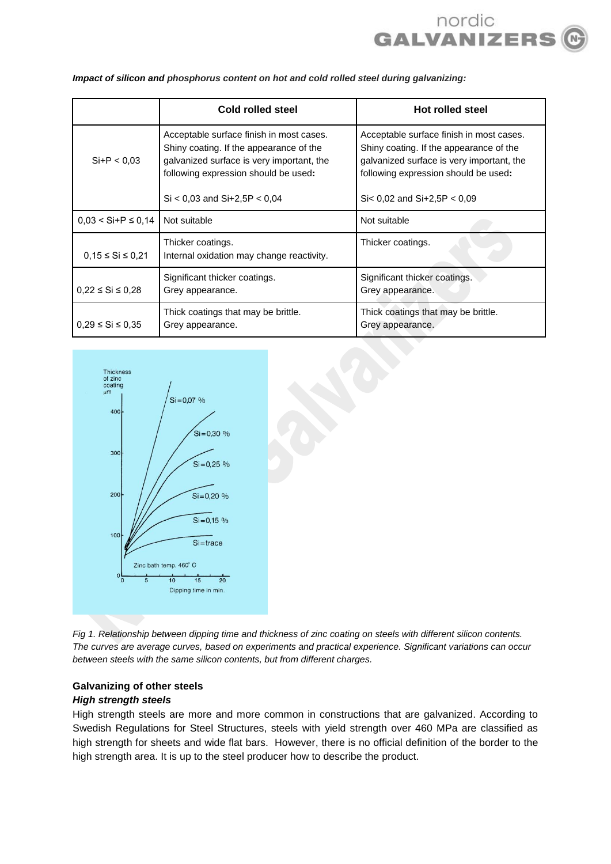

*Impact of silicon and phosphorus content on hot and cold rolled steel during galvanizing:*

|                           | Cold rolled steel                                                                                                                                                                                            | Hot rolled steel                                                                                                                                                                                            |  |
|---------------------------|--------------------------------------------------------------------------------------------------------------------------------------------------------------------------------------------------------------|-------------------------------------------------------------------------------------------------------------------------------------------------------------------------------------------------------------|--|
| $Si+P < 0.03$             | Acceptable surface finish in most cases.<br>Shiny coating. If the appearance of the<br>galvanized surface is very important, the<br>following expression should be used:<br>$Si < 0.03$ and $Si+2.5P < 0.04$ | Acceptable surface finish in most cases.<br>Shiny coating. If the appearance of the<br>galvanized surface is very important, the<br>following expression should be used:<br>Si< $0.02$ and Si+2.5P < $0.09$ |  |
| $0.03 <$ Si+P $\leq$ 0.14 | Not suitable                                                                                                                                                                                                 | Not suitable                                                                                                                                                                                                |  |
| $0.15 \le S$ i $\le 0.21$ | Thicker coatings.<br>Internal oxidation may change reactivity.                                                                                                                                               | Thicker coatings.                                                                                                                                                                                           |  |
| $0,22 \le S$ i $\le 0,28$ | Significant thicker coatings.<br>Grey appearance.                                                                                                                                                            | Significant thicker coatings.<br>Grey appearance.                                                                                                                                                           |  |
| $0.29 \le S$ i $\le 0.35$ | Thick coatings that may be brittle.<br>Grey appearance.                                                                                                                                                      | Thick coatings that may be brittle.<br>Grey appearance.                                                                                                                                                     |  |



*Fig 1. Relationship between dipping time and thickness of zinc coating on steels with different silicon contents. The curves are average curves, based on experiments and practical experience. Significant variations can occur between steels with the same silicon contents, but from different charges.*

# **Galvanizing of other steels**

# *High strength steels*

High strength steels are more and more common in constructions that are galvanized. According to Swedish Regulations for Steel Structures, steels with yield strength over 460 MPa are classified as high strength for sheets and wide flat bars. However, there is no official definition of the border to the high strength area. It is up to the steel producer how to describe the product.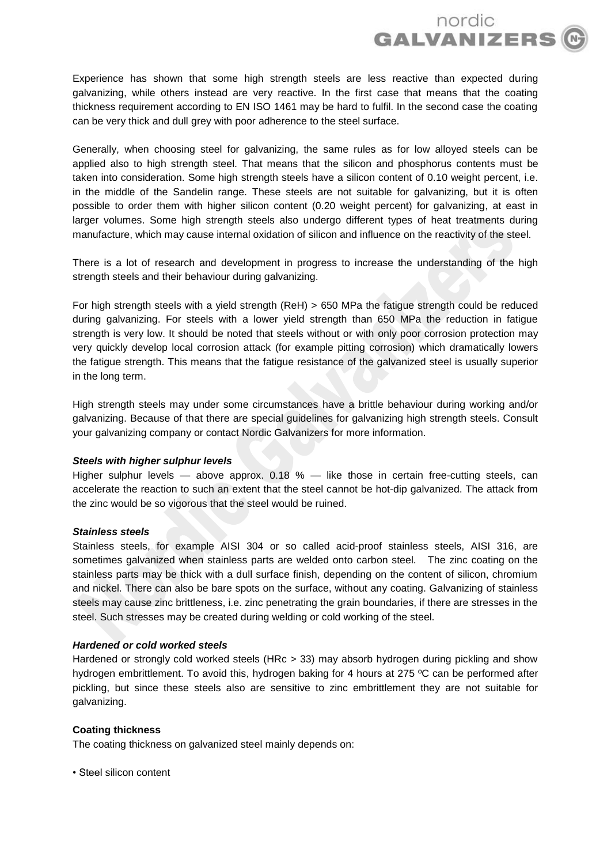Experience has shown that some high strength steels are less reactive than expected during galvanizing, while others instead are very reactive. In the first case that means that the coating thickness requirement according to EN ISO 1461 may be hard to fulfil. In the second case the coating can be very thick and dull grey with poor adherence to the steel surface.

nordic **GALVANIZERS** 

Generally, when choosing steel for galvanizing, the same rules as for low alloyed steels can be applied also to high strength steel. That means that the silicon and phosphorus contents must be taken into consideration. Some high strength steels have a silicon content of 0.10 weight percent, i.e. in the middle of the Sandelin range. These steels are not suitable for galvanizing, but it is often possible to order them with higher silicon content (0.20 weight percent) for galvanizing, at east in larger volumes. Some high strength steels also undergo different types of heat treatments during manufacture, which may cause internal oxidation of silicon and influence on the reactivity of the steel.

There is a lot of research and development in progress to increase the understanding of the high strength steels and their behaviour during galvanizing.

For high strength steels with a yield strength (ReH) > 650 MPa the fatigue strength could be reduced during galvanizing. For steels with a lower yield strength than 650 MPa the reduction in fatigue strength is very low. It should be noted that steels without or with only poor corrosion protection may very quickly develop local corrosion attack (for example pitting corrosion) which dramatically lowers the fatigue strength. This means that the fatigue resistance of the galvanized steel is usually superior in the long term.

High strength steels may under some circumstances have a brittle behaviour during working and/or galvanizing. Because of that there are special guidelines for galvanizing high strength steels. Consult your galvanizing company or contact Nordic Galvanizers for more information.

## *Steels with higher sulphur levels*

Higher sulphur levels — above approx.  $0.18 \%$  — like those in certain free-cutting steels, can accelerate the reaction to such an extent that the steel cannot be hot-dip galvanized. The attack from the zinc would be so vigorous that the steel would be ruined.

## *Stainless steels*

Stainless steels, for example AISI 304 or so called acid-proof stainless steels, AISI 316, are sometimes galvanized when stainless parts are welded onto carbon steel. The zinc coating on the stainless parts may be thick with a dull surface finish, depending on the content of silicon, chromium and nickel. There can also be bare spots on the surface, without any coating. Galvanizing of stainless steels may cause zinc brittleness, i.e. zinc penetrating the grain boundaries, if there are stresses in the steel. Such stresses may be created during welding or cold working of the steel.

## *Hardened or cold worked steels*

Hardened or strongly cold worked steels (HRc > 33) may absorb hydrogen during pickling and show hydrogen embrittlement. To avoid this, hydrogen baking for 4 hours at 275 °C can be performed after pickling, but since these steels also are sensitive to zinc embrittlement they are not suitable for galvanizing.

## **Coating thickness**

The coating thickness on galvanized steel mainly depends on:

• Steel silicon content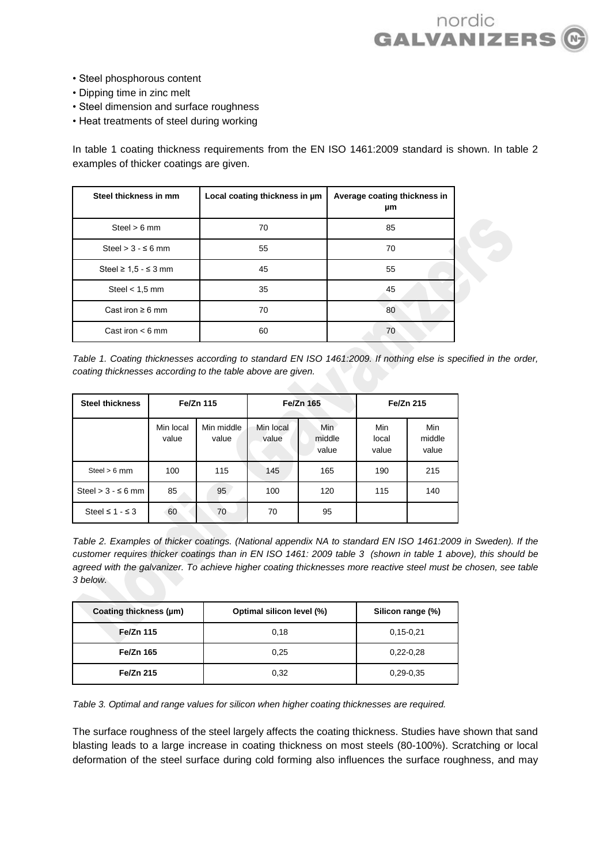

- Steel phosphorous content
- Dipping time in zinc melt
- Steel dimension and surface roughness
- Heat treatments of steel during working

In table 1 coating thickness requirements from the EN ISO 1461:2009 standard is shown. In table 2 examples of thicker coatings are given.

| Steel thickness in mm        | Local coating thickness in um | Average coating thickness in<br>μm |
|------------------------------|-------------------------------|------------------------------------|
| Steel $> 6$ mm               | 70                            | 85                                 |
| Steel $> 3 - 5$ 6 mm         | 55                            | 70                                 |
| Steel $\geq 1.5 - \leq 3$ mm | 45                            | 55                                 |
| Steel $< 1.5$ mm             | 35                            | 45                                 |
| Cast iron $\geq 6$ mm        | 70                            | 80                                 |
| Cast iron $<$ 6 mm           | 60                            | 70                                 |

*Table 1. Coating thicknesses according to standard EN ISO 1461:2009. If nothing else is specified in the order, coating thicknesses according to the table above are given.*

| <b>Steel thickness</b> | Fe/Zn 115          |                     | Fe/Zn 165          |                        | Fe/Zn 215             |                        |
|------------------------|--------------------|---------------------|--------------------|------------------------|-----------------------|------------------------|
|                        | Min local<br>value | Min middle<br>value | Min local<br>value | Min<br>middle<br>value | Min<br>local<br>value | Min<br>middle<br>value |
| Steel $> 6$ mm         | 100                | 115                 | 145                | 165                    | 190                   | 215                    |
| Steel $> 3 - 5$ 6 mm   | 85                 | 95                  | 100                | 120                    | 115                   | 140                    |
| Steel ≤ 1 - ≤ 3        | 60                 | 70                  | 70                 | 95                     |                       |                        |

*Table 2. Examples of thicker coatings. (National appendix NA to standard EN ISO 1461:2009 in Sweden). If the customer requires thicker coatings than in EN ISO 1461: 2009 table 3 (shown in table 1 above), this should be agreed with the galvanizer. To achieve higher coating thicknesses more reactive steel must be chosen, see table 3 below.*

| Coating thickness (µm) | Optimal silicon level (%) | Silicon range (%) |  |
|------------------------|---------------------------|-------------------|--|
| <b>Fe/Zn 115</b>       | 0,18                      | $0,15 - 0,21$     |  |
| <b>Fe/Zn 165</b>       | 0,25                      | $0,22-0,28$       |  |
| Fe/Zn 215              | 0,32                      | $0,29-0,35$       |  |

*Table 3. Optimal and range values for silicon when higher coating thicknesses are required.*

The surface roughness of the steel largely affects the coating thickness. Studies have shown that sand blasting leads to a large increase in coating thickness on most steels (80-100%). Scratching or local deformation of the steel surface during cold forming also influences the surface roughness, and may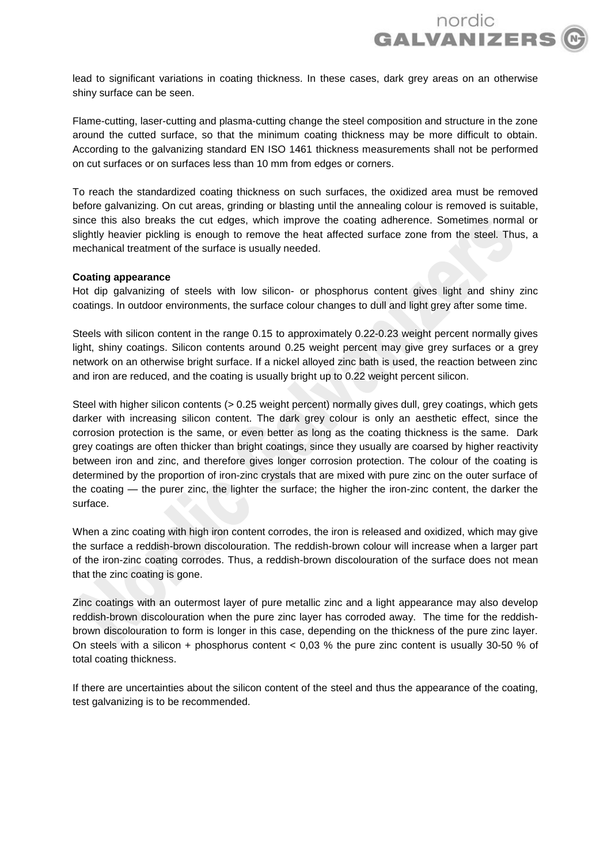

lead to significant variations in coating thickness. In these cases, dark grey areas on an otherwise shiny surface can be seen.

Flame-cutting, laser-cutting and plasma-cutting change the steel composition and structure in the zone around the cutted surface, so that the minimum coating thickness may be more difficult to obtain. According to the galvanizing standard EN ISO 1461 thickness measurements shall not be performed on cut surfaces or on surfaces less than 10 mm from edges or corners.

To reach the standardized coating thickness on such surfaces, the oxidized area must be removed before galvanizing. On cut areas, grinding or blasting until the annealing colour is removed is suitable, since this also breaks the cut edges, which improve the coating adherence. Sometimes normal or slightly heavier pickling is enough to remove the heat affected surface zone from the steel. Thus, a mechanical treatment of the surface is usually needed.

## **Coating appearance**

Hot dip galvanizing of steels with low silicon- or phosphorus content gives light and shiny zinc coatings. In outdoor environments, the surface colour changes to dull and light grey after some time.

Steels with silicon content in the range 0.15 to approximately 0.22-0.23 weight percent normally gives light, shiny coatings. Silicon contents around 0.25 weight percent may give grey surfaces or a grey network on an otherwise bright surface. If a nickel alloyed zinc bath is used, the reaction between zinc and iron are reduced, and the coating is usually bright up to 0.22 weight percent silicon.

Steel with higher silicon contents (> 0.25 weight percent) normally gives dull, grey coatings, which gets darker with increasing silicon content. The dark grey colour is only an aesthetic effect, since the corrosion protection is the same, or even better as long as the coating thickness is the same. Dark grey coatings are often thicker than bright coatings, since they usually are coarsed by higher reactivity between iron and zinc, and therefore gives longer corrosion protection. The colour of the coating is determined by the proportion of iron-zinc crystals that are mixed with pure zinc on the outer surface of the coating — the purer zinc, the lighter the surface; the higher the iron-zinc content, the darker the surface.

When a zinc coating with high iron content corrodes, the iron is released and oxidized, which may give the surface a reddish-brown discolouration. The reddish-brown colour will increase when a larger part of the iron-zinc coating corrodes. Thus, a reddish-brown discolouration of the surface does not mean that the zinc coating is gone.

Zinc coatings with an outermost layer of pure metallic zinc and a light appearance may also develop reddish-brown discolouration when the pure zinc layer has corroded away. The time for the reddishbrown discolouration to form is longer in this case, depending on the thickness of the pure zinc layer. On steels with a silicon + phosphorus content < 0,03 % the pure zinc content is usually 30-50 % of total coating thickness.

If there are uncertainties about the silicon content of the steel and thus the appearance of the coating, test galvanizing is to be recommended.